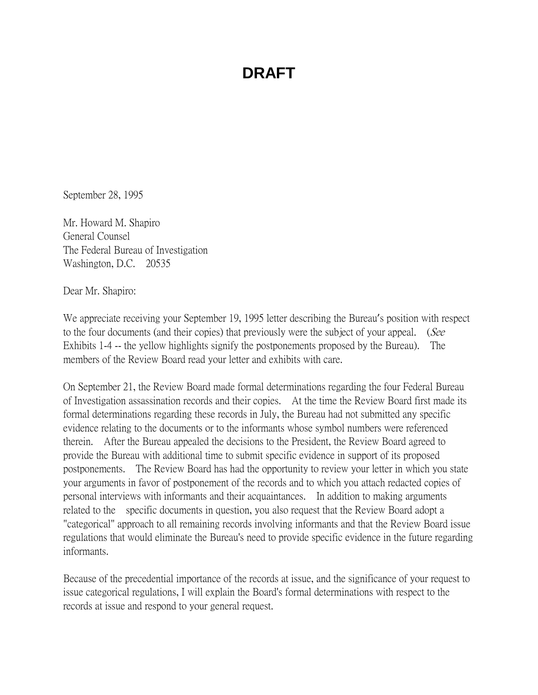September 28, 1995

Mr. Howard M. Shapiro General Counsel The Federal Bureau of Investigation Washington, D.C. 20535

Dear Mr. Shapiro:

We appreciate receiving your September 19, 1995 letter describing the Bureau's position with respect to the four documents (and their copies) that previously were the subject of your appeal. (See Exhibits 1-4 -- the yellow highlights signify the postponements proposed by the Bureau). The members of the Review Board read your letter and exhibits with care.

On September 21, the Review Board made formal determinations regarding the four Federal Bureau of Investigation assassination records and their copies. At the time the Review Board first made its formal determinations regarding these records in July, the Bureau had not submitted any specific evidence relating to the documents or to the informants whose symbol numbers were referenced therein. After the Bureau appealed the decisions to the President, the Review Board agreed to provide the Bureau with additional time to submit specific evidence in support of its proposed postponements. The Review Board has had the opportunity to review your letter in which you state your arguments in favor of postponement of the records and to which you attach redacted copies of personal interviews with informants and their acquaintances. In addition to making arguments related to the specific documents in question, you also request that the Review Board adopt a "categorical" approach to all remaining records involving informants and that the Review Board issue regulations that would eliminate the Bureau's need to provide specific evidence in the future regarding informants.

Because of the precedential importance of the records at issue, and the significance of your request to issue categorical regulations, I will explain the Board's formal determinations with respect to the records at issue and respond to your general request.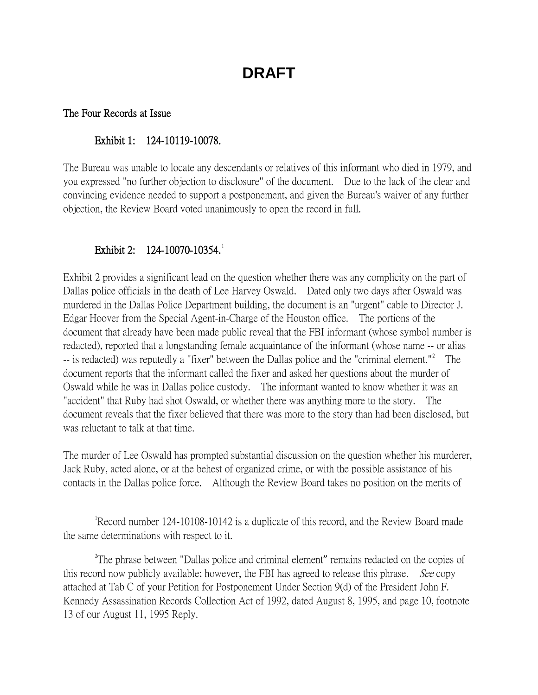#### The Four Records at Issue

#### Exhibit 1: 124-10119-10078.

The Bureau was unable to locate any descendants or relatives of this informant who died in 1979, and you expressed "no further objection to disclosure" of the document. Due to the lack of the clear and convincing evidence needed to support a postponement, and given the Bureau's waiver of any further objection, the Review Board voted unanimously to open the record in full.

#### Exhibit 2: [1](#page-1-0)24-10070-10354.

Exhibit 2 provides a significant lead on the question whether there was any complicity on the part of Dallas police officials in the death of Lee Harvey Oswald. Dated only two days after Oswald was murdered in the Dallas Police Department building, the document is an "urgent" cable to Director J. Edgar Hoover from the Special Agent-in-Charge of the Houston office. The portions of the document that already have been made public reveal that the FBI informant (whose symbol number is redacted), reported that a longstanding female acquaintance of the informant (whose name -- or alias -- is redacted) was reputedly a "fixer" between the Dallas police and the "criminal element."<sup>[2](#page-1-1)</sup> The document reports that the informant called the fixer and asked her questions about the murder of Oswald while he was in Dallas police custody. The informant wanted to know whether it was an "accident" that Ruby had shot Oswald, or whether there was anything more to the story. The document reveals that the fixer believed that there was more to the story than had been disclosed, but was reluctant to talk at that time.

The murder of Lee Oswald has prompted substantial discussion on the question whether his murderer, Jack Ruby, acted alone, or at the behest of organized crime, or with the possible assistance of his contacts in the Dallas police force. Although the Review Board takes no position on the merits of

<span id="page-1-0"></span> $\overline{\phantom{a}}$ Record number 124-10108-10142 is a duplicate of this record, and the Review Board made the same determinations with respect to it.

<span id="page-1-1"></span><sup>&</sup>lt;sup>2</sup>The phrase between "Dallas police and criminal element" remains redacted on the copies of this record now publicly available; however, the FBI has agreed to release this phrase. *See* copy attached at Tab C of your Petition for Postponement Under Section 9(d) of the President John F. Kennedy Assassination Records Collection Act of 1992, dated August 8, 1995, and page 10, footnote 13 of our August 11, 1995 Reply.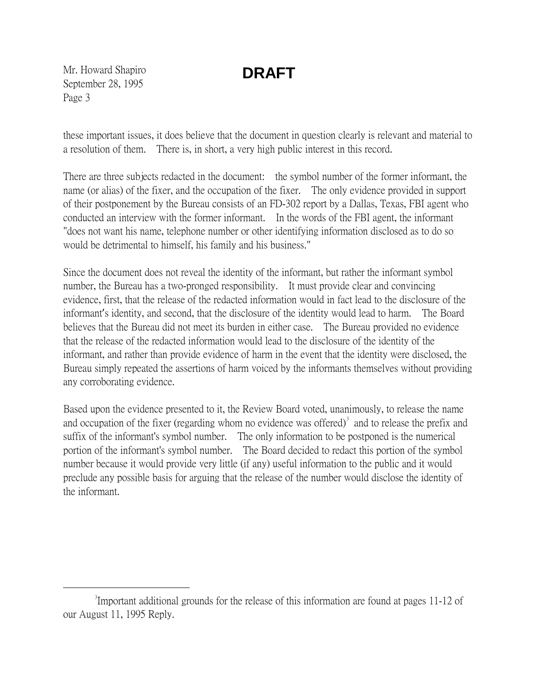Mr. Howard Shapiro September 28, 1995 Page 3

these important issues, it does believe that the document in question clearly is relevant and material to a resolution of them. There is, in short, a very high public interest in this record.

There are three subjects redacted in the document: the symbol number of the former informant, the name (or alias) of the fixer, and the occupation of the fixer. The only evidence provided in support of their postponement by the Bureau consists of an FD-302 report by a Dallas, Texas, FBI agent who conducted an interview with the former informant. In the words of the FBI agent, the informant "does not want his name, telephone number or other identifying information disclosed as to do so would be detrimental to himself, his family and his business."

Since the document does not reveal the identity of the informant, but rather the informant symbol number, the Bureau has a two-pronged responsibility. It must provide clear and convincing evidence, first, that the release of the redacted information would in fact lead to the disclosure of the informant's identity, and second, that the disclosure of the identity would lead to harm. The Board believes that the Bureau did not meet its burden in either case. The Bureau provided no evidence that the release of the redacted information would lead to the disclosure of the identity of the informant, and rather than provide evidence of harm in the event that the identity were disclosed, the Bureau simply repeated the assertions of harm voiced by the informants themselves without providing any corroborating evidence.

Based upon the evidence presented to it, the Review Board voted, unanimously, to release the name and occupation of the fixer (regarding whom no evidence was offered) $\delta$  and to release the prefix and suffix of the informant's symbol number. The only information to be postponed is the numerical portion of the informant's symbol number. The Board decided to redact this portion of the symbol number because it would provide very little (if any) useful information to the public and it would preclude any possible basis for arguing that the release of the number would disclose the identity of the informant.

<span id="page-2-0"></span> $\frac{1}{3}$ Important additional grounds for the release of this information are found at pages 11-12 of our August 11, 1995 Reply.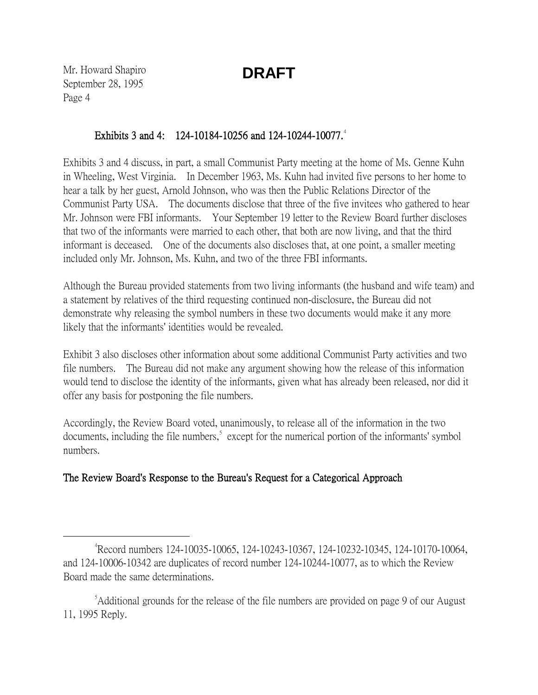Mr. Howard Shapiro September 28, 1995 Page 4

### Exhibits 3 and [4](#page-3-0): 124-10184-10256 and 124-10244-10077.<sup>4</sup>

Exhibits 3 and 4 discuss, in part, a small Communist Party meeting at the home of Ms. Genne Kuhn in Wheeling, West Virginia. In December 1963, Ms. Kuhn had invited five persons to her home to hear a talk by her guest, Arnold Johnson, who was then the Public Relations Director of the Communist Party USA. The documents disclose that three of the five invitees who gathered to hear Mr. Johnson were FBI informants. Your September 19 letter to the Review Board further discloses that two of the informants were married to each other, that both are now living, and that the third informant is deceased. One of the documents also discloses that, at one point, a smaller meeting included only Mr. Johnson, Ms. Kuhn, and two of the three FBI informants.

Although the Bureau provided statements from two living informants (the husband and wife team) and a statement by relatives of the third requesting continued non-disclosure, the Bureau did not demonstrate why releasing the symbol numbers in these two documents would make it any more likely that the informants' identities would be revealed.

Exhibit 3 also discloses other information about some additional Communist Party activities and two file numbers. The Bureau did not make any argument showing how the release of this information would tend to disclose the identity of the informants, given what has already been released, nor did it offer any basis for postponing the file numbers.

Accordingly, the Review Board voted, unanimously, to release all of the information in the two documents, including the file numbers,<sup>[5](#page-3-1)</sup> except for the numerical portion of the informants' symbol numbers.

### The Review Board's Response to the Bureau's Request for a Categorical Approach

<span id="page-3-0"></span> $\frac{1}{4}$ Record numbers 124-10035-10065, 124-10243-10367, 124-10232-10345, 124-10170-10064, and 124-10006-10342 are duplicates of record number 124-10244-10077, as to which the Review Board made the same determinations.

<span id="page-3-1"></span><sup>&</sup>lt;sup>5</sup>Additional grounds for the release of the file numbers are provided on page 9 of our August 11, 1995 Reply.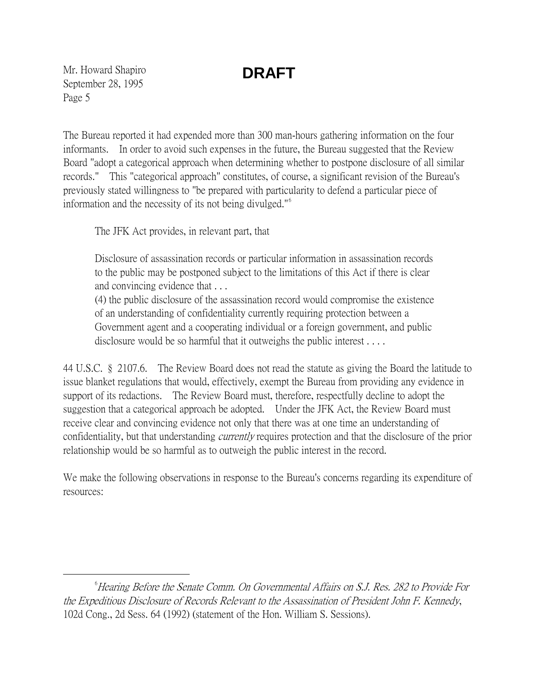Mr. Howard Shapiro September 28, 1995 Page 5

The Bureau reported it had expended more than 300 man-hours gathering information on the four informants. In order to avoid such expenses in the future, the Bureau suggested that the Review Board "adopt a categorical approach when determining whether to postpone disclosure of all similar records." This "categorical approach" constitutes, of course, a significant revision of the Bureau's previously stated willingness to "be prepared with particularity to defend a particular piece of information and the necessity of its not being divulged."[6](#page-4-0)

The JFK Act provides, in relevant part, that

Disclosure of assassination records or particular information in assassination records to the public may be postponed subject to the limitations of this Act if there is clear and convincing evidence that . . .

(4) the public disclosure of the assassination record would compromise the existence of an understanding of confidentiality currently requiring protection between a Government agent and a cooperating individual or a foreign government, and public disclosure would be so harmful that it outweighs the public interest . . . .

44 U.S.C. § 2107.6. The Review Board does not read the statute as giving the Board the latitude to issue blanket regulations that would, effectively, exempt the Bureau from providing any evidence in support of its redactions. The Review Board must, therefore, respectfully decline to adopt the suggestion that a categorical approach be adopted. Under the JFK Act, the Review Board must receive clear and convincing evidence not only that there was at one time an understanding of confidentiality, but that understanding *currently* requires protection and that the disclosure of the prior relationship would be so harmful as to outweigh the public interest in the record.

We make the following observations in response to the Bureau's concerns regarding its expenditure of resources:

<span id="page-4-0"></span> $\overline{\phantom{a}}$  $^6$ Hearing Before the Senate Comm. On Governmental Affairs on S.J. Res. 282 to Provide For the Expeditious Disclosure of Records Relevant to the Assassination of President John F. Kennedy, 102d Cong., 2d Sess. 64 (1992) (statement of the Hon. William S. Sessions).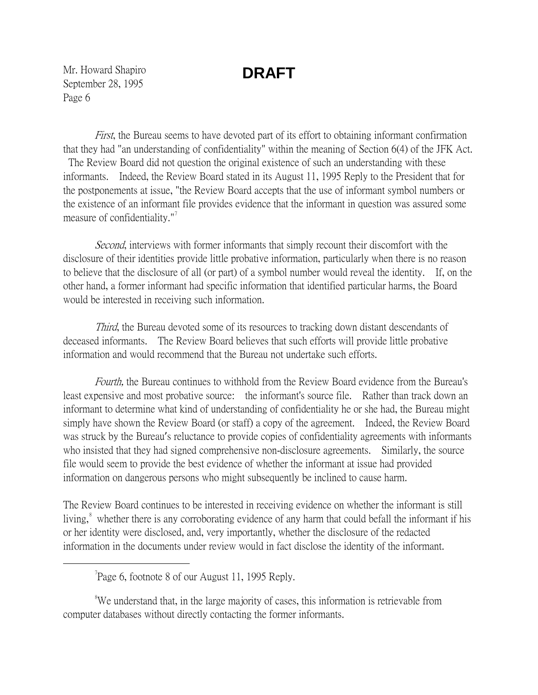Mr. Howard Shapiro September 28, 1995 Page 6

First, the Bureau seems to have devoted part of its effort to obtaining informant confirmation that they had "an understanding of confidentiality" within the meaning of Section 6(4) of the JFK Act. The Review Board did not question the original existence of such an understanding with these informants. Indeed, the Review Board stated in its August 11, 1995 Reply to the President that for the postponements at issue, "the Review Board accepts that the use of informant symbol numbers or the existence of an informant file provides evidence that the informant in question was assured some measure of confidentiality." $\frac{1}{2}$ 

Second, interviews with former informants that simply recount their discomfort with the disclosure of their identities provide little probative information, particularly when there is no reason to believe that the disclosure of all (or part) of a symbol number would reveal the identity. If, on the other hand, a former informant had specific information that identified particular harms, the Board would be interested in receiving such information.

Third, the Bureau devoted some of its resources to tracking down distant descendants of deceased informants. The Review Board believes that such efforts will provide little probative information and would recommend that the Bureau not undertake such efforts.

Fourth, the Bureau continues to withhold from the Review Board evidence from the Bureau's least expensive and most probative source: the informant's source file. Rather than track down an informant to determine what kind of understanding of confidentiality he or she had, the Bureau might simply have shown the Review Board (or staff) a copy of the agreement. Indeed, the Review Board was struck by the Bureau's reluctance to provide copies of confidentiality agreements with informants who insisted that they had signed comprehensive non-disclosure agreements. Similarly, the source file would seem to provide the best evidence of whether the informant at issue had provided information on dangerous persons who might subsequently be inclined to cause harm.

The Review Board continues to be interested in receiving evidence on whether the informant is still living,<sup>[8](#page-5-1)</sup> whether there is any corroborating evidence of any harm that could befall the informant if his or her identity were disclosed, and, very importantly, whether the disclosure of the redacted information in the documents under review would in fact disclose the identity of the informant.

<span id="page-5-0"></span> $\overline{\phantom{a}}$  $n^7$ Page 6, footnote 8 of our August 11, 1995 Reply.

<span id="page-5-1"></span><sup>8</sup>We understand that, in the large majority of cases, this information is retrievable from computer databases without directly contacting the former informants.